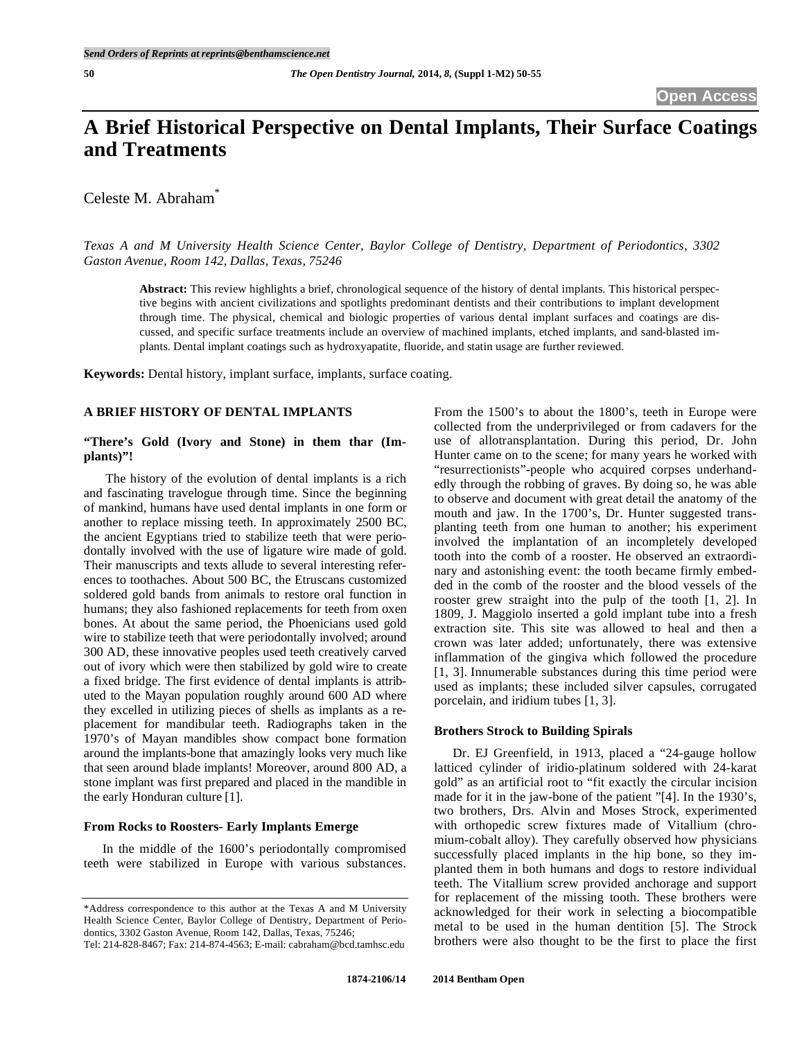# **A Brief Historical Perspective on Dental Implants, Their Surface Coatings and Treatments**

Celeste M. Abraham<sup>\*</sup>

*Texas A and M University Health Science Center, Baylor College of Dentistry, Department of Periodontics, 3302 Gaston Avenue, Room 142, Dallas, Texas, 75246* 

**Abstract:** This review highlights a brief, chronological sequence of the history of dental implants. This historical perspective begins with ancient civilizations and spotlights predominant dentists and their contributions to implant development through time. The physical, chemical and biologic properties of various dental implant surfaces and coatings are discussed, and specific surface treatments include an overview of machined implants, etched implants, and sand-blasted implants. Dental implant coatings such as hydroxyapatite, fluoride, and statin usage are further reviewed.

**Keywords:** Dental history, implant surface, implants, surface coating.

### **A BRIEF HISTORY OF DENTAL IMPLANTS**

# **"There's Gold (Ivory and Stone) in them thar (Implants)"!**

 The history of the evolution of dental implants is a rich and fascinating travelogue through time. Since the beginning of mankind, humans have used dental implants in one form or another to replace missing teeth. In approximately 2500 BC, the ancient Egyptians tried to stabilize teeth that were periodontally involved with the use of ligature wire made of gold. Their manuscripts and texts allude to several interesting references to toothaches. About 500 BC, the Etruscans customized soldered gold bands from animals to restore oral function in humans; they also fashioned replacements for teeth from oxen bones. At about the same period, the Phoenicians used gold wire to stabilize teeth that were periodontally involved; around 300 AD, these innovative peoples used teeth creatively carved out of ivory which were then stabilized by gold wire to create a fixed bridge. The first evidence of dental implants is attributed to the Mayan population roughly around 600 AD where they excelled in utilizing pieces of shells as implants as a replacement for mandibular teeth. Radiographs taken in the 1970's of Mayan mandibles show compact bone formation around the implants-bone that amazingly looks very much like that seen around blade implants! Moreover, around 800 AD, a stone implant was first prepared and placed in the mandible in the early Honduran culture [1].

# **From Rocks to Roosters- Early Implants Emerge**

In the middle of the 1600's periodontally compromised teeth were stabilized in Europe with various substances. From the 1500's to about the 1800's, teeth in Europe were collected from the underprivileged or from cadavers for the use of allotransplantation. During this period, Dr. John Hunter came on to the scene; for many years he worked with "resurrectionists"-people who acquired corpses underhandedly through the robbing of graves. By doing so, he was able to observe and document with great detail the anatomy of the mouth and jaw. In the 1700's, Dr. Hunter suggested transplanting teeth from one human to another; his experiment involved the implantation of an incompletely developed tooth into the comb of a rooster. He observed an extraordinary and astonishing event: the tooth became firmly embedded in the comb of the rooster and the blood vessels of the rooster grew straight into the pulp of the tooth [1, 2]. In 1809, J. Maggiolo inserted a gold implant tube into a fresh extraction site. This site was allowed to heal and then a crown was later added; unfortunately, there was extensive inflammation of the gingiva which followed the procedure [1, 3]. Innumerable substances during this time period were used as implants; these included silver capsules, corrugated porcelain, and iridium tubes [1, 3].

### **Brothers Strock to Building Spirals**

Dr. EJ Greenfield, in 1913, placed a "24-gauge hollow latticed cylinder of iridio-platinum soldered with 24-karat gold" as an artificial root to "fit exactly the circular incision made for it in the jaw-bone of the patient "[4]. In the 1930's, two brothers, Drs. Alvin and Moses Strock, experimented with orthopedic screw fixtures made of Vitallium (chromium-cobalt alloy). They carefully observed how physicians successfully placed implants in the hip bone, so they implanted them in both humans and dogs to restore individual teeth. The Vitallium screw provided anchorage and support for replacement of the missing tooth. These brothers were acknowledged for their work in selecting a biocompatible metal to be used in the human dentition [5]. The Strock brothers were also thought to be the first to place the first

<sup>\*</sup>Address correspondence to this author at the Texas A and M University Health Science Center, Baylor College of Dentistry, Department of Periodontics, 3302 Gaston Avenue, Room 142, Dallas, Texas, 75246; Tel: 214-828-8467; Fax: 214-874-4563; E-mail: cabraham@bcd.tamhsc.edu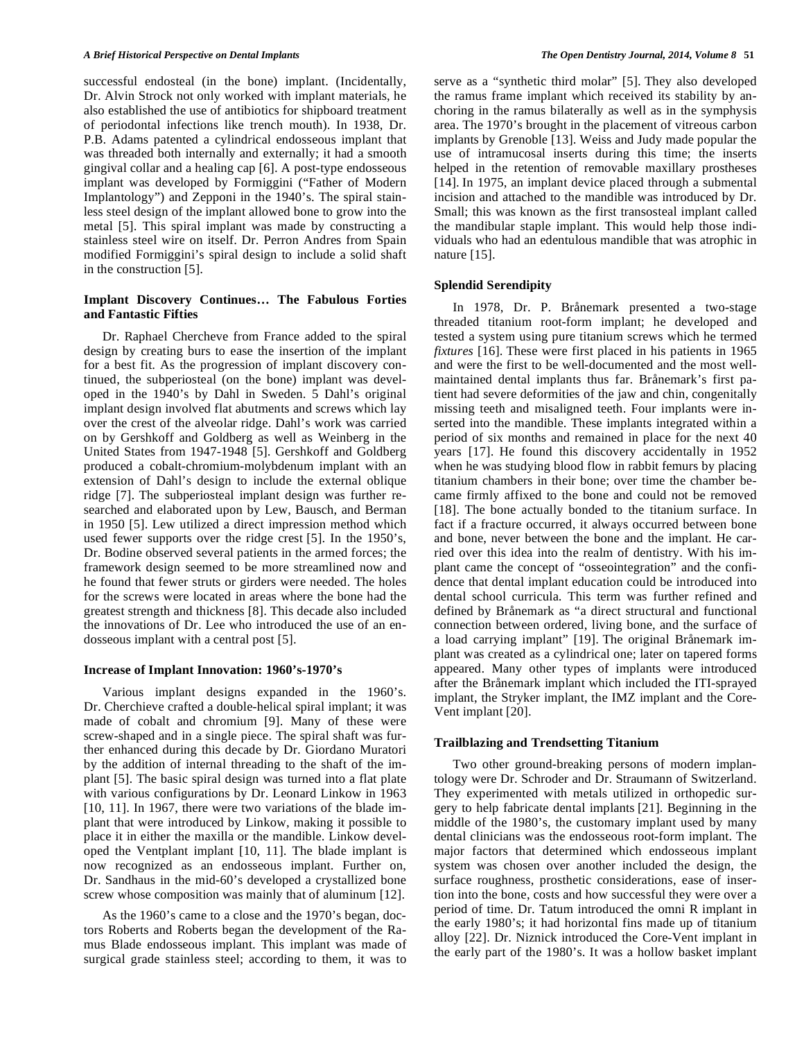successful endosteal (in the bone) implant. (Incidentally, Dr. Alvin Strock not only worked with implant materials, he also established the use of antibiotics for shipboard treatment of periodontal infections like trench mouth). In 1938, Dr. P.B. Adams patented a cylindrical endosseous implant that was threaded both internally and externally; it had a smooth gingival collar and a healing cap [6]. A post-type endosseous implant was developed by Formiggini ("Father of Modern Implantology") and Zepponi in the 1940's. The spiral stainless steel design of the implant allowed bone to grow into the metal [5]. This spiral implant was made by constructing a stainless steel wire on itself. Dr. Perron Andres from Spain modified Formiggini's spiral design to include a solid shaft in the construction [5].

#### **Implant Discovery Continues… The Fabulous Forties and Fantastic Fifties**

Dr. Raphael Chercheve from France added to the spiral design by creating burs to ease the insertion of the implant for a best fit. As the progression of implant discovery continued, the subperiosteal (on the bone) implant was developed in the 1940's by Dahl in Sweden. 5 Dahl's original implant design involved flat abutments and screws which lay over the crest of the alveolar ridge. Dahl's work was carried on by Gershkoff and Goldberg as well as Weinberg in the United States from 1947-1948 [5]. Gershkoff and Goldberg produced a cobalt-chromium-molybdenum implant with an extension of Dahl's design to include the external oblique ridge [7]. The subperiosteal implant design was further researched and elaborated upon by Lew, Bausch, and Berman in 1950 [5]. Lew utilized a direct impression method which used fewer supports over the ridge crest [5]. In the 1950's, Dr. Bodine observed several patients in the armed forces; the framework design seemed to be more streamlined now and he found that fewer struts or girders were needed. The holes for the screws were located in areas where the bone had the greatest strength and thickness [8]. This decade also included the innovations of Dr. Lee who introduced the use of an endosseous implant with a central post [5].

#### **Increase of Implant Innovation: 1960's-1970's**

Various implant designs expanded in the 1960's. Dr. Cherchieve crafted a double-helical spiral implant; it was made of cobalt and chromium [9]. Many of these were screw-shaped and in a single piece. The spiral shaft was further enhanced during this decade by Dr. Giordano Muratori by the addition of internal threading to the shaft of the implant [5]. The basic spiral design was turned into a flat plate with various configurations by Dr. Leonard Linkow in 1963 [10, 11]. In 1967, there were two variations of the blade implant that were introduced by Linkow, making it possible to place it in either the maxilla or the mandible. Linkow developed the Ventplant implant [10, 11]. The blade implant is now recognized as an endosseous implant. Further on, Dr. Sandhaus in the mid-60's developed a crystallized bone screw whose composition was mainly that of aluminum [12].

As the 1960's came to a close and the 1970's began, doctors Roberts and Roberts began the development of the Ramus Blade endosseous implant. This implant was made of surgical grade stainless steel; according to them, it was to

serve as a "synthetic third molar" [5]. They also developed the ramus frame implant which received its stability by anchoring in the ramus bilaterally as well as in the symphysis area. The 1970's brought in the placement of vitreous carbon implants by Grenoble [13]. Weiss and Judy made popular the use of intramucosal inserts during this time; the inserts helped in the retention of removable maxillary prostheses [14]. In 1975, an implant device placed through a submental incision and attached to the mandible was introduced by Dr. Small; this was known as the first transosteal implant called the mandibular staple implant. This would help those individuals who had an edentulous mandible that was atrophic in nature [15].

#### **Splendid Serendipity**

In 1978, Dr. P. Brånemark presented a two-stage threaded titanium root-form implant; he developed and tested a system using pure titanium screws which he termed *fixtures* [16]. These were first placed in his patients in 1965 and were the first to be well-documented and the most wellmaintained dental implants thus far. Brånemark's first patient had severe deformities of the jaw and chin, congenitally missing teeth and misaligned teeth. Four implants were inserted into the mandible. These implants integrated within a period of six months and remained in place for the next 40 years [17]. He found this discovery accidentally in 1952 when he was studying blood flow in rabbit femurs by placing titanium chambers in their bone; over time the chamber became firmly affixed to the bone and could not be removed [18]. The bone actually bonded to the titanium surface. In fact if a fracture occurred, it always occurred between bone and bone, never between the bone and the implant. He carried over this idea into the realm of dentistry. With his implant came the concept of "osseointegration" and the confidence that dental implant education could be introduced into dental school curricula. This term was further refined and defined by Brånemark as "a direct structural and functional connection between ordered, living bone, and the surface of a load carrying implant" [19]. The original Brånemark implant was created as a cylindrical one; later on tapered forms appeared. Many other types of implants were introduced after the Brånemark implant which included the ITI-sprayed implant, the Stryker implant, the IMZ implant and the Core-Vent implant [20].

#### **Trailblazing and Trendsetting Titanium**

Two other ground-breaking persons of modern implantology were Dr. Schroder and Dr. Straumann of Switzerland. They experimented with metals utilized in orthopedic surgery to help fabricate dental implants [21]. Beginning in the middle of the 1980's, the customary implant used by many dental clinicians was the endosseous root-form implant. The major factors that determined which endosseous implant system was chosen over another included the design, the surface roughness, prosthetic considerations, ease of insertion into the bone, costs and how successful they were over a period of time. Dr. Tatum introduced the omni R implant in the early 1980's; it had horizontal fins made up of titanium alloy [22]. Dr. Niznick introduced the Core-Vent implant in the early part of the 1980's. It was a hollow basket implant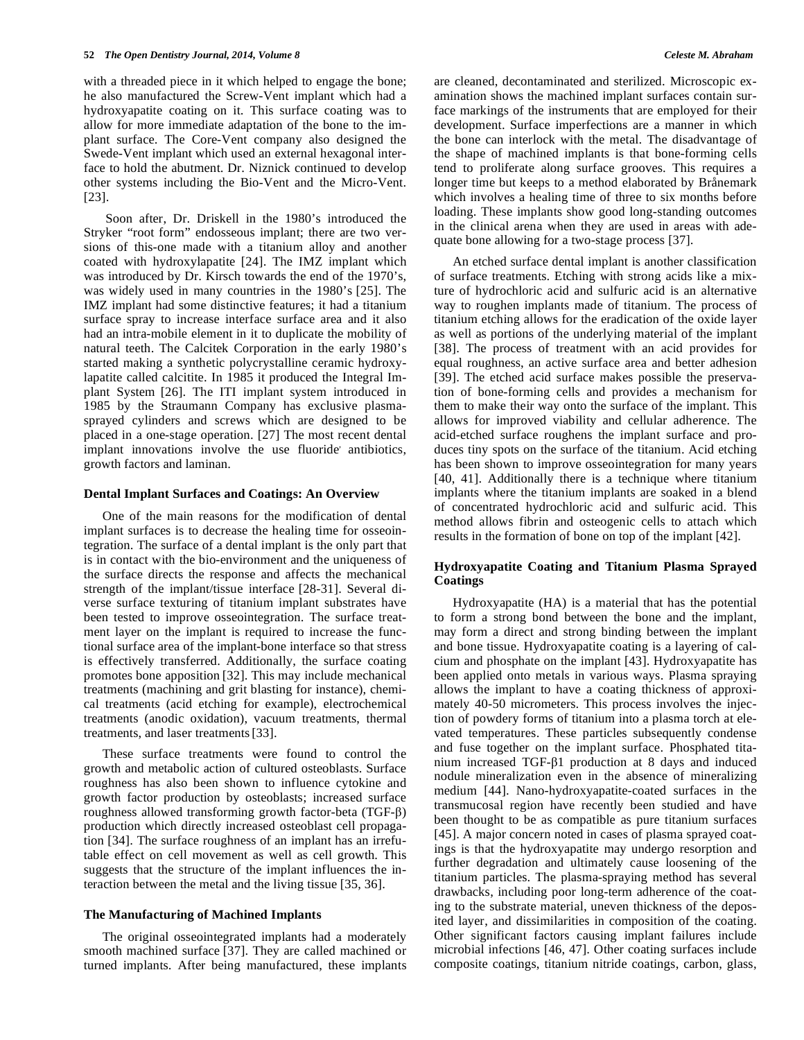with a threaded piece in it which helped to engage the bone; he also manufactured the Screw-Vent implant which had a hydroxyapatite coating on it. This surface coating was to allow for more immediate adaptation of the bone to the implant surface. The Core-Vent company also designed the Swede-Vent implant which used an external hexagonal interface to hold the abutment. Dr. Niznick continued to develop other systems including the Bio-Vent and the Micro-Vent. [23].

 Soon after, Dr. Driskell in the 1980's introduced the Stryker "root form" endosseous implant; there are two versions of this-one made with a titanium alloy and another coated with hydroxylapatite [24]. The IMZ implant which was introduced by Dr. Kirsch towards the end of the 1970's, was widely used in many countries in the 1980's [25]. The IMZ implant had some distinctive features; it had a titanium surface spray to increase interface surface area and it also had an intra-mobile element in it to duplicate the mobility of natural teeth. The Calcitek Corporation in the early 1980's started making a synthetic polycrystalline ceramic hydroxylapatite called calcitite. In 1985 it produced the Integral Implant System [26]. The ITI implant system introduced in 1985 by the Straumann Company has exclusive plasmasprayed cylinders and screws which are designed to be placed in a one-stage operation. [27] The most recent dental implant innovations involve the use fluoride antibiotics, growth factors and laminan.

# **Dental Implant Surfaces and Coatings: An Overview**

One of the main reasons for the modification of dental implant surfaces is to decrease the healing time for osseointegration. The surface of a dental implant is the only part that is in contact with the bio-environment and the uniqueness of the surface directs the response and affects the mechanical strength of the implant/tissue interface [28-31]. Several diverse surface texturing of titanium implant substrates have been tested to improve osseointegration. The surface treatment layer on the implant is required to increase the functional surface area of the implant-bone interface so that stress is effectively transferred. Additionally, the surface coating promotes bone apposition [32]. This may include mechanical treatments (machining and grit blasting for instance), chemical treatments (acid etching for example), electrochemical treatments (anodic oxidation), vacuum treatments, thermal treatments, and laser treatments[33].

These surface treatments were found to control the growth and metabolic action of cultured osteoblasts. Surface roughness has also been shown to influence cytokine and growth factor production by osteoblasts; increased surface roughness allowed transforming growth factor-beta  $(TGF- $\beta$ )$ production which directly increased osteoblast cell propagation [34]. The surface roughness of an implant has an irrefutable effect on cell movement as well as cell growth. This suggests that the structure of the implant influences the interaction between the metal and the living tissue [35, 36].

#### **The Manufacturing of Machined Implants**

The original osseointegrated implants had a moderately smooth machined surface [37]. They are called machined or turned implants. After being manufactured, these implants

are cleaned, decontaminated and sterilized. Microscopic examination shows the machined implant surfaces contain surface markings of the instruments that are employed for their development. Surface imperfections are a manner in which the bone can interlock with the metal. The disadvantage of the shape of machined implants is that bone-forming cells tend to proliferate along surface grooves. This requires a longer time but keeps to a method elaborated by Brånemark which involves a healing time of three to six months before loading. These implants show good long-standing outcomes in the clinical arena when they are used in areas with adequate bone allowing for a two-stage process [37].

An etched surface dental implant is another classification of surface treatments. Etching with strong acids like a mixture of hydrochloric acid and sulfuric acid is an alternative way to roughen implants made of titanium. The process of titanium etching allows for the eradication of the oxide layer as well as portions of the underlying material of the implant [38]. The process of treatment with an acid provides for equal roughness, an active surface area and better adhesion [39]. The etched acid surface makes possible the preservation of bone-forming cells and provides a mechanism for them to make their way onto the surface of the implant. This allows for improved viability and cellular adherence. The acid-etched surface roughens the implant surface and produces tiny spots on the surface of the titanium. Acid etching has been shown to improve osseointegration for many years [40, 41]. Additionally there is a technique where titanium implants where the titanium implants are soaked in a blend of concentrated hydrochloric acid and sulfuric acid. This method allows fibrin and osteogenic cells to attach which results in the formation of bone on top of the implant [42].

# **Hydroxyapatite Coating and Titanium Plasma Sprayed Coatings**

Hydroxyapatite (HA) is a material that has the potential to form a strong bond between the bone and the implant, may form a direct and strong binding between the implant and bone tissue. Hydroxyapatite coating is a layering of calcium and phosphate on the implant [43]. Hydroxyapatite has been applied onto metals in various ways. Plasma spraying allows the implant to have a coating thickness of approximately 40-50 micrometers. This process involves the injection of powdery forms of titanium into a plasma torch at elevated temperatures. These particles subsequently condense and fuse together on the implant surface. Phosphated titanium increased  $TGF- $\beta$ 1 production at 8 days and induced$ nodule mineralization even in the absence of mineralizing medium [44]. Nano-hydroxyapatite-coated surfaces in the transmucosal region have recently been studied and have been thought to be as compatible as pure titanium surfaces [45]. A major concern noted in cases of plasma sprayed coatings is that the hydroxyapatite may undergo resorption and further degradation and ultimately cause loosening of the titanium particles. The plasma-spraying method has several drawbacks, including poor long-term adherence of the coating to the substrate material, uneven thickness of the deposited layer, and dissimilarities in composition of the coating. Other significant factors causing implant failures include microbial infections [46, 47]. Other coating surfaces include composite coatings, titanium nitride coatings, carbon, glass,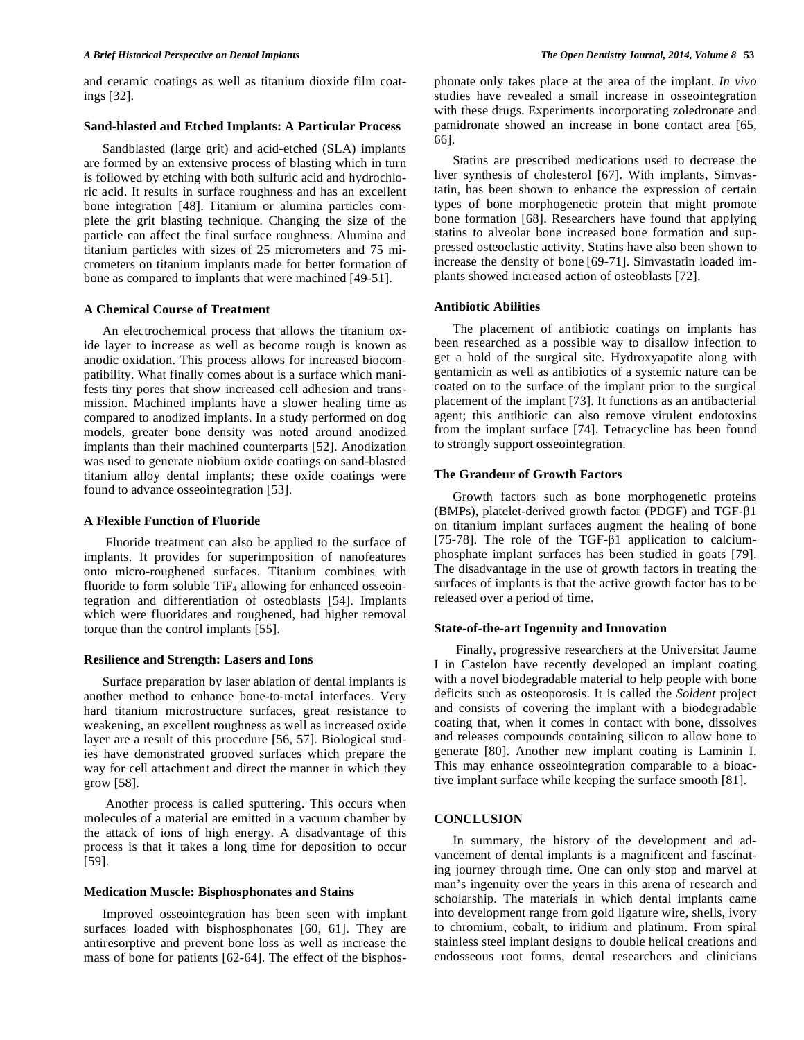and ceramic coatings as well as titanium dioxide film coatings [32].

#### **Sand-blasted and Etched Implants: A Particular Process**

Sandblasted (large grit) and acid-etched (SLA) implants are formed by an extensive process of blasting which in turn is followed by etching with both sulfuric acid and hydrochloric acid. It results in surface roughness and has an excellent bone integration [48]. Titanium or alumina particles complete the grit blasting technique. Changing the size of the particle can affect the final surface roughness. Alumina and titanium particles with sizes of 25 micrometers and 75 micrometers on titanium implants made for better formation of bone as compared to implants that were machined [49-51].

# **A Chemical Course of Treatment**

An electrochemical process that allows the titanium oxide layer to increase as well as become rough is known as anodic oxidation. This process allows for increased biocompatibility. What finally comes about is a surface which manifests tiny pores that show increased cell adhesion and transmission. Machined implants have a slower healing time as compared to anodized implants. In a study performed on dog models, greater bone density was noted around anodized implants than their machined counterparts [52]. Anodization was used to generate niobium oxide coatings on sand-blasted titanium alloy dental implants; these oxide coatings were found to advance osseointegration [53].

#### **A Flexible Function of Fluoride**

Fluoride treatment can also be applied to the surface of implants. It provides for superimposition of nanofeatures onto micro-roughened surfaces. Titanium combines with fluoride to form soluble  $TiF<sub>4</sub>$  allowing for enhanced osseointegration and differentiation of osteoblasts [54]. Implants which were fluoridates and roughened, had higher removal torque than the control implants [55].

#### **Resilience and Strength: Lasers and Ions**

Surface preparation by laser ablation of dental implants is another method to enhance bone-to-metal interfaces. Very hard titanium microstructure surfaces, great resistance to weakening, an excellent roughness as well as increased oxide layer are a result of this procedure [56, 57]. Biological studies have demonstrated grooved surfaces which prepare the way for cell attachment and direct the manner in which they grow [58].

 Another process is called sputtering. This occurs when molecules of a material are emitted in a vacuum chamber by the attack of ions of high energy. A disadvantage of this process is that it takes a long time for deposition to occur [59].

#### **Medication Muscle: Bisphosphonates and Stains**

Improved osseointegration has been seen with implant surfaces loaded with bisphosphonates [60, 61]. They are antiresorptive and prevent bone loss as well as increase the mass of bone for patients [62-64]. The effect of the bisphosphonate only takes place at the area of the implant. *In vivo* studies have revealed a small increase in osseointegration with these drugs. Experiments incorporating zoledronate and pamidronate showed an increase in bone contact area [65, 66].

Statins are prescribed medications used to decrease the liver synthesis of cholesterol [67]. With implants, Simvastatin, has been shown to enhance the expression of certain types of bone morphogenetic protein that might promote bone formation [68]. Researchers have found that applying statins to alveolar bone increased bone formation and suppressed osteoclastic activity. Statins have also been shown to increase the density of bone [69-71]. Simvastatin loaded implants showed increased action of osteoblasts [72].

#### **Antibiotic Abilities**

The placement of antibiotic coatings on implants has been researched as a possible way to disallow infection to get a hold of the surgical site. Hydroxyapatite along with gentamicin as well as antibiotics of a systemic nature can be coated on to the surface of the implant prior to the surgical placement of the implant [73]. It functions as an antibacterial agent; this antibiotic can also remove virulent endotoxins from the implant surface [74]. Tetracycline has been found to strongly support osseointegration.

#### **The Grandeur of Growth Factors**

Growth factors such as bone morphogenetic proteins (BMPs), platelet-derived growth factor (PDGF) and TGF- $\beta$ 1 on titanium implant surfaces augment the healing of bone [75-78]. The role of the TGF- $\beta$ 1 application to calciumphosphate implant surfaces has been studied in goats [79]. The disadvantage in the use of growth factors in treating the surfaces of implants is that the active growth factor has to be released over a period of time.

#### **State-of-the-art Ingenuity and Innovation**

 Finally, progressive researchers at the Universitat Jaume I in Castelon have recently developed an implant coating with a novel biodegradable material to help people with bone deficits such as osteoporosis. It is called the *Soldent* project and consists of covering the implant with a biodegradable coating that, when it comes in contact with bone, dissolves and releases compounds containing silicon to allow bone to generate [80]. Another new implant coating is Laminin I. This may enhance osseointegration comparable to a bioactive implant surface while keeping the surface smooth [81].

#### **CONCLUSION**

In summary, the history of the development and advancement of dental implants is a magnificent and fascinating journey through time. One can only stop and marvel at man's ingenuity over the years in this arena of research and scholarship. The materials in which dental implants came into development range from gold ligature wire, shells, ivory to chromium, cobalt, to iridium and platinum. From spiral stainless steel implant designs to double helical creations and endosseous root forms, dental researchers and clinicians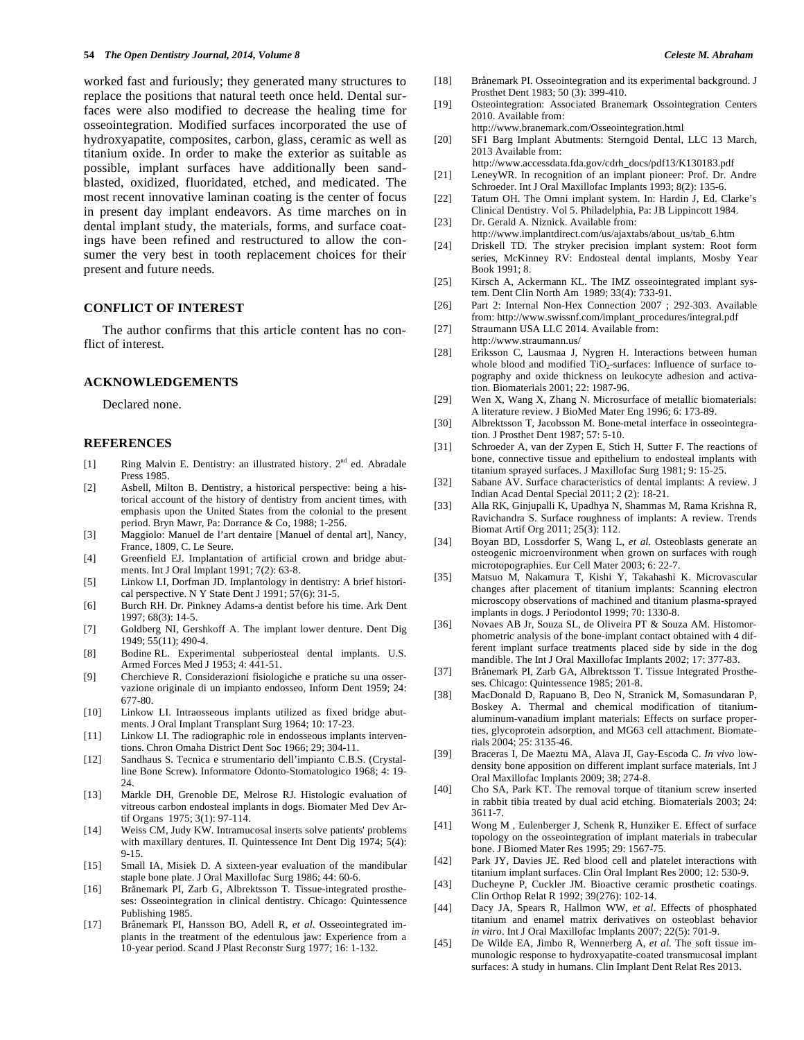#### **54** *The Open Dentistry Journal, 2014, Volume 8 Celeste M. Abraham*

worked fast and furiously; they generated many structures to replace the positions that natural teeth once held. Dental surfaces were also modified to decrease the healing time for osseointegration. Modified surfaces incorporated the use of hydroxyapatite, composites, carbon, glass, ceramic as well as titanium oxide. In order to make the exterior as suitable as possible, implant surfaces have additionally been sandblasted, oxidized, fluoridated, etched, and medicated. The most recent innovative laminan coating is the center of focus in present day implant endeavors. As time marches on in dental implant study, the materials, forms, and surface coatings have been refined and restructured to allow the consumer the very best in tooth replacement choices for their present and future needs.

#### **CONFLICT OF INTEREST**

The author confirms that this article content has no conflict of interest.

# **ACKNOWLEDGEMENTS**

Declared none.

## **REFERENCES**

- [1] Ring Malvin E. Dentistry: an illustrated history. 2<sup>nd</sup> ed. Abradale Press 1985.
- [2] Asbell, Milton B. Dentistry, a historical perspective: being a historical account of the history of dentistry from ancient times, with emphasis upon the United States from the colonial to the present period. Bryn Mawr, Pa: Dorrance & Co, 1988; 1-256.
- [3] Maggiolo: Manuel de l'art dentaire [Manuel of dental art], Nancy, France, 1809, C. Le Seure.
- [4] Greenfield EJ. Implantation of artificial crown and bridge abutments. Int J Oral Implant 1991; 7(2): 63-8.
- [5] Linkow LI, Dorfman JD. Implantology in dentistry: A brief historical perspective. N Y State Dent J 1991; 57(6): 31-5.
- [6] Burch RH. Dr. Pinkney Adams-a dentist before his time. Ark Dent 1997; 68(3): 14-5.
- [7] Goldberg NI, Gershkoff A. The implant lower denture. Dent Dig 1949; 55(11); 490-4.
- [8] Bodine RL. Experimental subperiosteal dental implants. U.S. Armed Forces Med J 1953; 4: 441-51.
- [9] Cherchieve R. Considerazioni fisiologiche e pratiche su una osservazione originale di un impianto endosseo, Inform Dent 1959; 24: 677-80.
- [10] Linkow LI. Intraosseous implants utilized as fixed bridge abutments. J Oral Implant Transplant Surg 1964; 10: 17-23.
- [11] Linkow LI. The radiographic role in endosseous implants interventions. Chron Omaha District Dent Soc 1966; 29; 304-11.
- [12] Sandhaus S. Tecnica e strumentario dell'impianto C.B.S. (Crystalline Bone Screw). Informatore Odonto-Stomatologico 1968; 4: 19- 24.
- [13] Markle DH, Grenoble DE, Melrose RJ. Histologic evaluation of vitreous carbon endosteal implants in dogs. Biomater Med Dev Artif Organs 1975; 3(1): 97-114.
- [14] Weiss CM, Judy KW. Intramucosal inserts solve patients' problems with maxillary dentures. II. Quintessence Int Dent Dig 1974; 5(4): 9-15.
- [15] Small IA, Misiek D. A sixteen-year evaluation of the mandibular staple bone plate. J Oral Maxillofac Surg 1986; 44: 60-6.
- [16] Brånemark PI, Zarb G, Albrektsson T. Tissue-integrated prostheses: Osseointegration in clinical dentistry. Chicago: Quintessence Publishing 1985.
- [17] Brånemark PI, Hansson BO, Adell R, *et al*. Osseointegrated implants in the treatment of the edentulous jaw: Experience from a 10-year period. Scand J Plast Reconstr Surg 1977; 16: 1-132.
- [18] Brånemark PI. Osseointegration and its experimental background. J Prosthet Dent 1983; 50 (3): 399-410.
- [19] Osteointegration: Associated Branemark Ossointegration Centers 2010. Available from:
- http://www.branemark.com/Osseointegration.html
- [20] SF1 Barg Implant Abutments: Sterngoid Dental, LLC 13 March, 2013 Available from:
- http://www.accessdata.fda.gov/cdrh\_docs/pdf13/K130183.pdf [21] LeneyWR. In recognition of an implant pioneer: Prof. Dr. Andre Schroeder. Int J Oral Maxillofac Implants 1993; 8(2): 135-6.
- [22] Tatum OH. The Omni implant system. In: Hardin J, Ed. Clarke's Clinical Dentistry. Vol 5. Philadelphia, Pa: JB Lippincott 1984.
- [23] Dr. Gerald A. Niznick. Available from: http://www.implantdirect.com/us/ajaxtabs/about\_us/tab\_6.htm
- [24] Driskell TD. The stryker precision implant system: Root form series, McKinney RV: Endosteal dental implants, Mosby Year Book 1991; 8.
- [25] Kirsch A, Ackermann KL. The IMZ osseointegrated implant system. Dent Clin North Am 1989; 33(4): 733-91.
- [26] Part 2: Internal Non-Hex Connection 2007 ; 292-303. Available from: http://www.swissnf.com/implant\_procedures/integral.pdf
- [27] Straumann USA LLC 2014. Available from: http://www.straumann.us/
- [28] Eriksson C, Lausmaa J, Nygren H. Interactions between human whole blood and modified  $TiO<sub>2</sub>$ -surfaces: Influence of surface topography and oxide thickness on leukocyte adhesion and activation. Biomaterials 2001; 22: 1987-96.
- [29] Wen X, Wang X, Zhang N. Microsurface of metallic biomaterials: A literature review. J BioMed Mater Eng 1996; 6: 173-89.
- [30] Albrektsson T, Jacobsson M. Bone-metal interface in osseointegration. J Prosthet Dent 1987; 57: 5-10.
- [31] Schroeder A, van der Zypen E, Stich H, Sutter F. The reactions of bone, connective tissue and epithelium to endosteal implants with titanium sprayed surfaces. J Maxillofac Surg 1981; 9: 15-25.
- [32] Sabane AV. Surface characteristics of dental implants: A review. J Indian Acad Dental Special 2011; 2 (2): 18-21.
- [33] Alla RK, Ginjupalli K, Upadhya N, Shammas M, Rama Krishna R, Ravichandra S. Surface roughness of implants: A review. Trends Biomat Artif Org 2011; 25(3): 112.
- [34] Boyan BD, Lossdorfer S, Wang L, *et al.* Osteoblasts generate an osteogenic microenvironment when grown on surfaces with rough microtopographies. Eur Cell Mater 2003; 6: 22-7.
- [35] Matsuo M, Nakamura T, Kishi Y, Takahashi K. Microvascular changes after placement of titanium implants: Scanning electron microscopy observations of machined and titanium plasma-sprayed implants in dogs. J Periodontol 1999; 70: 1330-8.
- [36] Novaes AB Jr, Souza SL, de Oliveira PT & Souza AM. Histomorphometric analysis of the bone-implant contact obtained with 4 different implant surface treatments placed side by side in the dog mandible. The Int J Oral Maxillofac Implants 2002; 17: 377-83.
- [37] Brånemark PI, Zarb GA, Albrektsson T. Tissue Integrated Prostheses. Chicago: Quintessence 1985; 201-8.
- [38] MacDonald D, Rapuano B, Deo N, Stranick M, Somasundaran P, Boskey A. Thermal and chemical modification of titaniumaluminum-vanadium implant materials: Effects on surface properties, glycoprotein adsorption, and MG63 cell attachment. Biomaterials 2004; 25: 3135-46.
- [39] Braceras I, De Maeztu MA, Alava JI, Gay-Escoda C. *In vivo* lowdensity bone apposition on different implant surface materials. Int J Oral Maxillofac Implants 2009; 38; 274-8.
- [40] Cho SA, Park KT. The removal torque of titanium screw inserted in rabbit tibia treated by dual acid etching. Biomaterials 2003; 24: 3611-7.
- [41] Wong M , Eulenberger J, Schenk R, Hunziker E. Effect of surface topology on the osseointegration of implant materials in trabecular bone. J Biomed Mater Res 1995; 29: 1567-75.
- [42] Park JY, Davies JE. Red blood cell and platelet interactions with titanium implant surfaces. Clin Oral Implant Res 2000; 12: 530-9.
- [43] Ducheyne P, Cuckler JM. Bioactive ceramic prosthetic coatings. Clin Orthop Relat R 1992; 39(276): 102-14.
- [44] Dacy JA, Spears R, Hallmon WW, *et al*. Effects of phosphated titanium and enamel matrix derivatives on osteoblast behavior *in vitro*. Int J Oral Maxillofac Implants 2007; 22(5): 701-9.
- [45] De Wilde EA, Jimbo R, Wennerberg A, *et al*. The soft tissue immunologic response to hydroxyapatite-coated transmucosal implant surfaces: A study in humans. Clin Implant Dent Relat Res 2013.